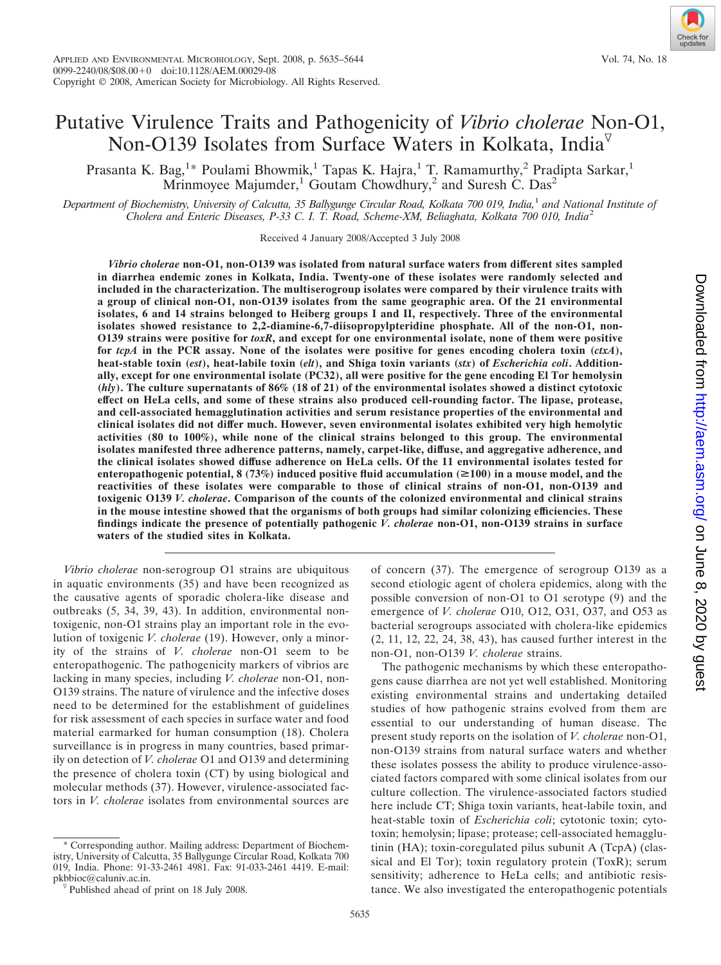# Putative Virulence Traits and Pathogenicity of *Vibrio cholerae* Non-O1, Non-O139 Isolates from Surface Waters in Kolkata, India<sup> $\triangledown$ </sup>

Prasanta K. Bag,<sup>1</sup>\* Poulami Bhowmik,<sup>1</sup> Tapas K. Hajra,<sup>1</sup> T. Ramamurthy,<sup>2</sup> Pradipta Sarkar,<sup>1</sup> Mrinmoyee Majumder,<sup>1</sup> Goutam Chowdhury,<sup>2</sup> and Suresh C. Das<sup>2</sup>

*Department of Biochemistry, University of Calcutta, 35 Ballygunge Circular Road, Kolkata 700 019, India,*<sup>1</sup> *and National Institute of Cholera and Enteric Diseases, P-33 C. I. T. Road, Scheme-XM, Beliaghata, Kolkata 700 010, India*<sup>2</sup>

Received 4 January 2008/Accepted 3 July 2008

*Vibrio cholerae* **non-O1, non-O139 was isolated from natural surface waters from different sites sampled in diarrhea endemic zones in Kolkata, India. Twenty-one of these isolates were randomly selected and included in the characterization. The multiserogroup isolates were compared by their virulence traits with a group of clinical non-O1, non-O139 isolates from the same geographic area. Of the 21 environmental isolates, 6 and 14 strains belonged to Heiberg groups I and II, respectively. Three of the environmental isolates showed resistance to 2,2-diamine-6,7-diisopropylpteridine phosphate. All of the non-O1, non-O139 strains were positive for** *toxR***, and except for one environmental isolate, none of them were positive for** *tcpA* **in the PCR assay. None of the isolates were positive for genes encoding cholera toxin (***ctxA***), heat-stable toxin (***est***), heat-labile toxin (***elt***), and Shiga toxin variants (***stx***) of** *Escherichia coli***. Additionally, except for one environmental isolate (PC32), all were positive for the gene encoding El Tor hemolysin (***hly***). The culture supernatants of 86% (18 of 21) of the environmental isolates showed a distinct cytotoxic effect on HeLa cells, and some of these strains also produced cell-rounding factor. The lipase, protease, and cell-associated hemagglutination activities and serum resistance properties of the environmental and clinical isolates did not differ much. However, seven environmental isolates exhibited very high hemolytic activities (80 to 100%), while none of the clinical strains belonged to this group. The environmental isolates manifested three adherence patterns, namely, carpet-like, diffuse, and aggregative adherence, and the clinical isolates showed diffuse adherence on HeLa cells. Of the 11 environmental isolates tested for** enteropathogenic potential,  $8(73%)$  induced positive fluid accumulation ( $\geq 100$ ) in a mouse model, and the **reactivities of these isolates were comparable to those of clinical strains of non-O1, non-O139 and toxigenic O139** *V. cholerae***. Comparison of the counts of the colonized environmental and clinical strains in the mouse intestine showed that the organisms of both groups had similar colonizing efficiencies. These findings indicate the presence of potentially pathogenic** *V. cholerae* **non-O1, non-O139 strains in surface waters of the studied sites in Kolkata.**

*Vibrio cholerae* non-serogroup O1 strains are ubiquitous in aquatic environments (35) and have been recognized as the causative agents of sporadic cholera-like disease and outbreaks (5, 34, 39, 43). In addition, environmental nontoxigenic, non-O1 strains play an important role in the evolution of toxigenic *V. cholerae* (19). However, only a minority of the strains of *V. cholerae* non-O1 seem to be enteropathogenic. The pathogenicity markers of vibrios are lacking in many species, including *V. cholerae* non-O1, non-O139 strains. The nature of virulence and the infective doses need to be determined for the establishment of guidelines for risk assessment of each species in surface water and food material earmarked for human consumption (18). Cholera surveillance is in progress in many countries, based primarily on detection of *V. cholerae* O1 and O139 and determining the presence of cholera toxin (CT) by using biological and molecular methods (37). However, virulence-associated factors in *V. cholerae* isolates from environmental sources are

\* Corresponding author. Mailing address: Department of Biochemistry, University of Calcutta, 35 Ballygunge Circular Road, Kolkata 700 019, India. Phone: 91-33-2461 4981. Fax: 91-033-2461 4419. E-mail:

of concern (37). The emergence of serogroup O139 as a second etiologic agent of cholera epidemics, along with the possible conversion of non-O1 to O1 serotype (9) and the emergence of *V. cholerae* O10, O12, O31, O37, and O53 as bacterial serogroups associated with cholera-like epidemics (2, 11, 12, 22, 24, 38, 43), has caused further interest in the non-O1, non-O139 *V. cholerae* strains.

The pathogenic mechanisms by which these enteropathogens cause diarrhea are not yet well established. Monitoring existing environmental strains and undertaking detailed studies of how pathogenic strains evolved from them are essential to our understanding of human disease. The present study reports on the isolation of *V. cholerae* non-O1, non-O139 strains from natural surface waters and whether these isolates possess the ability to produce virulence-associated factors compared with some clinical isolates from our culture collection. The virulence-associated factors studied here include CT; Shiga toxin variants, heat-labile toxin, and heat-stable toxin of *Escherichia coli*; cytotonic toxin; cytotoxin; hemolysin; lipase; protease; cell-associated hemagglutinin (HA); toxin-coregulated pilus subunit A (TcpA) (classical and El Tor); toxin regulatory protein (ToxR); serum sensitivity; adherence to HeLa cells; and antibiotic resistance. We also investigated the enteropathogenic potentials



 $\sqrt[p]{}$  Published ahead of print on 18 July 2008.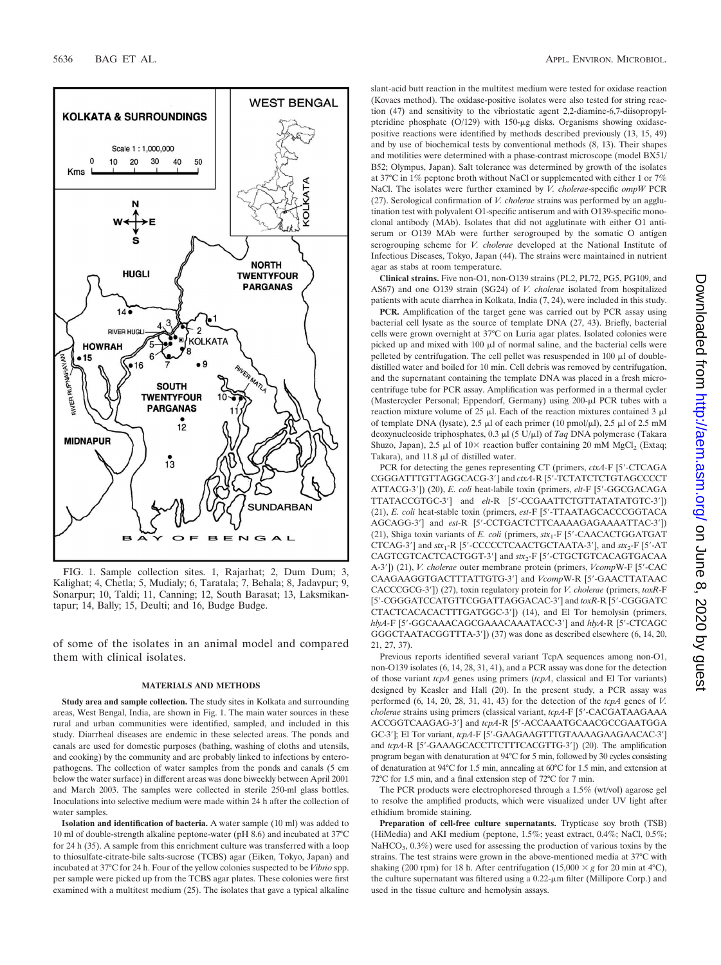

FIG. 1. Sample collection sites. 1, Rajarhat; 2, Dum Dum; 3, Kalighat; 4, Chetla; 5, Mudialy; 6, Taratala; 7, Behala; 8, Jadavpur; 9, Sonarpur; 10, Taldi; 11, Canning; 12, South Barasat; 13, Laksmikantapur; 14, Bally; 15, Deulti; and 16, Budge Budge.

of some of the isolates in an animal model and compared them with clinical isolates.

### **MATERIALS AND METHODS**

**Study area and sample collection.** The study sites in Kolkata and surrounding areas, West Bengal, India, are shown in Fig. 1. The main water sources in these rural and urban communities were identified, sampled, and included in this study. Diarrheal diseases are endemic in these selected areas. The ponds and canals are used for domestic purposes (bathing, washing of cloths and utensils, and cooking) by the community and are probably linked to infections by enteropathogens. The collection of water samples from the ponds and canals (5 cm below the water surface) in different areas was done biweekly between April 2001 and March 2003. The samples were collected in sterile 250-ml glass bottles. Inoculations into selective medium were made within 24 h after the collection of water samples.

**Isolation and identification of bacteria.** A water sample (10 ml) was added to 10 ml of double-strength alkaline peptone-water (pH 8.6) and incubated at 37°C for 24 h (35). A sample from this enrichment culture was transferred with a loop to thiosulfate-citrate-bile salts-sucrose (TCBS) agar (Eiken, Tokyo, Japan) and incubated at 37°C for 24 h. Four of the yellow colonies suspected to be *Vibrio* spp. per sample were picked up from the TCBS agar plates. These colonies were first examined with a multitest medium (25). The isolates that gave a typical alkaline slant-acid butt reaction in the multitest medium were tested for oxidase reaction (Kovacs method). The oxidase-positive isolates were also tested for string reaction (47) and sensitivity to the vibriostatic agent 2,2-diamine-6,7-diisopropylpteridine phosphate  $(O/129)$  with 150- $\mu$ g disks. Organisms showing oxidasepositive reactions were identified by methods described previously (13, 15, 49) and by use of biochemical tests by conventional methods (8, 13). Their shapes and motilities were determined with a phase-contrast microscope (model BX51/ B52; Olympus, Japan). Salt tolerance was determined by growth of the isolates at 37°C in 1% peptone broth without NaCl or supplemented with either 1 or 7% NaCl. The isolates were further examined by *V. cholerae*-specific *ompW* PCR (27). Serological confirmation of *V. cholerae* strains was performed by an agglutination test with polyvalent O1-specific antiserum and with O139-specific monoclonal antibody (MAb). Isolates that did not agglutinate with either O1 antiserum or O139 MAb were further serogrouped by the somatic O antigen serogrouping scheme for *V. cholerae* developed at the National Institute of Infectious Diseases, Tokyo, Japan (44). The strains were maintained in nutrient agar as stabs at room temperature.

**Clinical strains.** Five non-O1, non-O139 strains (PL2, PL72, PG5, PG109, and AS67) and one O139 strain (SG24) of *V. cholerae* isolated from hospitalized patients with acute diarrhea in Kolkata, India (7, 24), were included in this study.

**PCR.** Amplification of the target gene was carried out by PCR assay using bacterial cell lysate as the source of template DNA (27, 43). Briefly, bacterial cells were grown overnight at 37°C on Luria agar plates. Isolated colonies were picked up and mixed with  $100 \mu l$  of normal saline, and the bacterial cells were pelleted by centrifugation. The cell pellet was resuspended in  $100 \mu$ l of doubledistilled water and boiled for 10 min. Cell debris was removed by centrifugation, and the supernatant containing the template DNA was placed in a fresh microcentrifuge tube for PCR assay. Amplification was performed in a thermal cycler (Mastercycler Personal; Eppendorf, Germany) using 200-µl PCR tubes with a reaction mixture volume of  $25 \mu$ l. Each of the reaction mixtures contained 3  $\mu$ l of template DNA (lysate), 2.5  $\mu$ l of each primer (10 pmol/ $\mu$ l), 2.5  $\mu$ l of 2.5 mM deoxynucleoside triphosphates, 0.3 μl (5 U/μl) of *Taq* DNA polymerase (Takara Shuzo, Japan), 2.5  $\mu$ l of 10× reaction buffer containing 20 mM MgCl<sub>2</sub> (Extaq; Takara), and  $11.8 \mu l$  of distilled water.

PCR for detecting the genes representing CT (primers, *ctxA-F* [5'-CTCAGA CGGGATTTGTTAGGCACG-3] and *ctxA-*R [5-TCTATCTCTGTAGCCCCT ATTACG-3]) (20), *E. coli* heat-labile toxin (primers, *elt*-F [5-GGCGACAGA TTATACCGTGC-3] and *elt*-R [5-CCGAATTCTGTTATATATGTC-3]) (21), *E. coli* heat-stable toxin (primers, *est-*F [5-TTAATAGCACCCGGTACA AGCAGG-3] and *est-*R [5-CCTGACTCTTCAAAAGAGAAAATTAC-3]) (21), Shiga toxin variants of *E. coli* (primers, *stx*1-F [5-CAACACTGGATGAT CTCAG-3'] and  $stx_1$ -R [5'-CCCCCTCAACTGCTAATA-3'], and  $stx_2$ -F [5'-AT CAGTCGTCACTCACTGGT-3'] and *stx*<sub>2</sub>-F [5'-CTGCTGTCACAGTGACAA A-3]) (21), *V. cholerae* outer membrane protein (primers, *Vcomp*W-F [5-CAC CAAGAAGGTGACTTTATTGTG-3] and *Vcomp*W-R [5-GAACTTATAAC CACCCGCG-3]) (27), toxin regulatory protein for *V. cholerae* (primers, *toxR*-F [5-CGGGATCCATGTTCGGATTAGGACAC-3] and *toxR*-R [5-CGGGATC CTACTCACACACTTTGATGGC-3]) (14), and El Tor hemolysin (primers, *hlyA-*F [5-GGCAAACAGCGAAACAAATACC-3] and *hlyA-*R [5-CTCAGC GGGCTAATACGGTTTA-3']) (37) was done as described elsewhere (6, 14, 20, 21, 27, 37).

Previous reports identified several variant TcpA sequences among non-O1, non-O139 isolates (6, 14, 28, 31, 41), and a PCR assay was done for the detection of those variant *tcpA* genes using primers (*tcpA*, classical and El Tor variants) designed by Keasler and Hall (20). In the present study, a PCR assay was performed (6, 14, 20, 28, 31, 41, 43) for the detection of the *tcpA* genes of *V. cholerae* strains using primers (classical variant, *tcpA*-F [5-CACGATAAGAAA ACCGGTCAAGAG-3] and *tcpA*-R [5-ACCAAATGCAACGCCGAATGGA GC-3']; El Tor variant,  $topA$ -F [5'-GAAGAAGTTTGTAAAAGAAGAACAC-3'] and *tcpA*-R [5'-GAAAGCACCTTCTTTCACGTTG-3']) (20). The amplification program began with denaturation at 94°C for 5 min, followed by 30 cycles consisting of denaturation at 94°C for 1.5 min, annealing at 60°C for 1.5 min, and extension at 72°C for 1.5 min, and a final extension step of 72°C for 7 min.

The PCR products were electrophoresed through a 1.5% (wt/vol) agarose gel to resolve the amplified products, which were visualized under UV light after ethidium bromide staining.

**Preparation of cell-free culture supernatants.** Trypticase soy broth (TSB) (HiMedia) and AKI medium (peptone, 1.5%; yeast extract, 0.4%; NaCl, 0.5%;  $NaHCO<sub>3</sub>, 0.3%)$  were used for assessing the production of various toxins by the strains. The test strains were grown in the above-mentioned media at 37°C with shaking (200 rpm) for 18 h. After centrifugation (15,000  $\times$  g for 20 min at 4°C), the culture supernatant was filtered using a 0.22-μm filter (Millipore Corp.) and used in the tissue culture and hemolysin assays.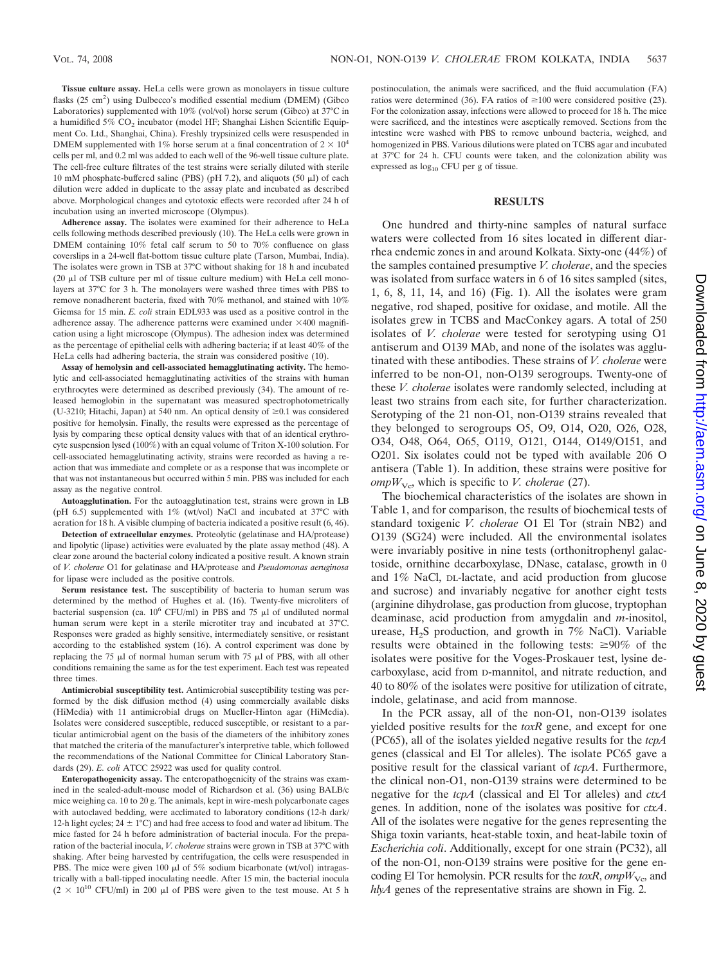**Tissue culture assay.** HeLa cells were grown as monolayers in tissue culture flasks (25 cm<sup>2</sup>) using Dulbecco's modified essential medium (DMEM) (Gibco Laboratories) supplemented with 10% (vol/vol) horse serum (Gibco) at 37°C in a humidified 5% CO<sub>2</sub> incubator (model HF; Shanghai Lishen Scientific Equipment Co. Ltd., Shanghai, China). Freshly trypsinized cells were resuspended in DMEM supplemented with 1% horse serum at a final concentration of  $2 \times 10^4$ cells per ml, and 0.2 ml was added to each well of the 96-well tissue culture plate. The cell-free culture filtrates of the test strains were serially diluted with sterile 10 mM phosphate-buffered saline (PBS) (pH 7.2), and aliquots (50  $\mu$ l) of each dilution were added in duplicate to the assay plate and incubated as described above. Morphological changes and cytotoxic effects were recorded after 24 h of incubation using an inverted microscope (Olympus).

**Adherence assay.** The isolates were examined for their adherence to HeLa cells following methods described previously (10). The HeLa cells were grown in DMEM containing 10% fetal calf serum to 50 to 70% confluence on glass coverslips in a 24-well flat-bottom tissue culture plate (Tarson, Mumbai, India). The isolates were grown in TSB at 37°C without shaking for 18 h and incubated  $(20 \mu)$  of TSB culture per ml of tissue culture medium) with HeLa cell monolayers at 37°C for 3 h. The monolayers were washed three times with PBS to remove nonadherent bacteria, fixed with 70% methanol, and stained with 10% Giemsa for 15 min. *E. coli* strain EDL933 was used as a positive control in the adherence assay. The adherence patterns were examined under  $\times 400$  magnification using a light microscope (Olympus). The adhesion index was determined as the percentage of epithelial cells with adhering bacteria; if at least 40% of the HeLa cells had adhering bacteria, the strain was considered positive (10).

**Assay of hemolysin and cell-associated hemagglutinating activity.** The hemolytic and cell-associated hemagglutinating activities of the strains with human erythrocytes were determined as described previously (34). The amount of released hemoglobin in the supernatant was measured spectrophotometrically (U-3210; Hitachi, Japan) at 540 nm. An optical density of  $\geq 0.1$  was considered positive for hemolysin. Finally, the results were expressed as the percentage of lysis by comparing these optical density values with that of an identical erythrocyte suspension lysed (100%) with an equal volume of Triton X-100 solution. For cell-associated hemagglutinating activity, strains were recorded as having a reaction that was immediate and complete or as a response that was incomplete or that was not instantaneous but occurred within 5 min. PBS was included for each assay as the negative control.

**Autoagglutination.** For the autoagglutination test, strains were grown in LB (pH 6.5) supplemented with  $1\%$  (wt/vol) NaCl and incubated at 37°C with aeration for 18 h. A visible clumping of bacteria indicated a positive result (6, 46).

**Detection of extracellular enzymes.** Proteolytic (gelatinase and HA/protease) and lipolytic (lipase) activities were evaluated by the plate assay method (48). A clear zone around the bacterial colony indicated a positive result. A known strain of *V. cholerae* O1 for gelatinase and HA/protease and *Pseudomonas aeruginosa* for lipase were included as the positive controls.

**Serum resistance test.** The susceptibility of bacteria to human serum was determined by the method of Hughes et al. (16). Twenty-five microliters of bacterial suspension (ca.  $10^6$  CFU/ml) in PBS and 75  $\mu$ l of undiluted normal human serum were kept in a sterile microtiter tray and incubated at 37°C. Responses were graded as highly sensitive, intermediately sensitive, or resistant according to the established system (16). A control experiment was done by replacing the 75  $\mu$ l of normal human serum with 75  $\mu$ l of PBS, with all other conditions remaining the same as for the test experiment. Each test was repeated three times.

**Antimicrobial susceptibility test.** Antimicrobial susceptibility testing was performed by the disk diffusion method (4) using commercially available disks (HiMedia) with 11 antimicrobial drugs on Mueller-Hinton agar (HiMedia). Isolates were considered susceptible, reduced susceptible, or resistant to a particular antimicrobial agent on the basis of the diameters of the inhibitory zones that matched the criteria of the manufacturer's interpretive table, which followed the recommendations of the National Committee for Clinical Laboratory Standards (29). *E. coli* ATCC 25922 was used for quality control.

**Enteropathogenicity assay.** The enteropathogenicity of the strains was examined in the sealed-adult-mouse model of Richardson et al. (36) using BALB/c mice weighing ca. 10 to 20 g. The animals, kept in wire-mesh polycarbonate cages with autoclaved bedding, were acclimated to laboratory conditions (12-h dark/ 12-h light cycles;  $24 \pm 1^{\circ}$ C) and had free access to food and water ad libitum. The mice fasted for 24 h before administration of bacterial inocula. For the preparation of the bacterial inocula, *V. cholerae* strains were grown in TSB at 37°C with shaking. After being harvested by centrifugation, the cells were resuspended in PBS. The mice were given 100  $\mu$ l of 5% sodium bicarbonate (wt/vol) intragastrically with a ball-tipped inoculating needle. After 15 min, the bacterial inocula  $(2 \times 10^{10} \text{ CFU/ml})$  in 200 µl of PBS were given to the test mouse. At 5 h postinoculation, the animals were sacrificed, and the fluid accumulation (FA) ratios were determined (36). FA ratios of  $\geq 100$  were considered positive (23). For the colonization assay, infections were allowed to proceed for 18 h. The mice were sacrificed, and the intestines were aseptically removed. Sections from the intestine were washed with PBS to remove unbound bacteria, weighed, and homogenized in PBS. Various dilutions were plated on TCBS agar and incubated at 37°C for 24 h. CFU counts were taken, and the colonization ability was expressed as  $log_{10}$  CFU per g of tissue.

#### **RESULTS**

One hundred and thirty-nine samples of natural surface waters were collected from 16 sites located in different diarrhea endemic zones in and around Kolkata. Sixty-one (44%) of the samples contained presumptive *V. cholerae*, and the species was isolated from surface waters in 6 of 16 sites sampled (sites, 1, 6, 8, 11, 14, and 16) (Fig. 1). All the isolates were gram negative, rod shaped, positive for oxidase, and motile. All the isolates grew in TCBS and MacConkey agars. A total of 250 isolates of *V. cholerae* were tested for serotyping using O1 antiserum and O139 MAb, and none of the isolates was agglutinated with these antibodies. These strains of *V. cholerae* were inferred to be non-O1, non-O139 serogroups. Twenty-one of these *V. cholerae* isolates were randomly selected, including at least two strains from each site, for further characterization. Serotyping of the 21 non-O1, non-O139 strains revealed that they belonged to serogroups O5, O9, O14, O20, O26, O28, O34, O48, O64, O65, O119, O121, O144, O149/O151, and O201. Six isolates could not be typed with available 206 O antisera (Table 1). In addition, these strains were positive for  $ompW_{\text{Vc}}$ , which is specific to *V. cholerae* (27).

The biochemical characteristics of the isolates are shown in Table 1, and for comparison, the results of biochemical tests of standard toxigenic *V. cholerae* O1 El Tor (strain NB2) and O139 (SG24) were included. All the environmental isolates were invariably positive in nine tests (orthonitrophenyl galactoside, ornithine decarboxylase, DNase, catalase, growth in 0 and 1% NaCl, DL-lactate, and acid production from glucose and sucrose) and invariably negative for another eight tests (arginine dihydrolase, gas production from glucose, tryptophan deaminase, acid production from amygdalin and *m*-inositol, urease,  $H_2S$  production, and growth in 7% NaCl). Variable results were obtained in the following tests:  $\geq 90\%$  of the isolates were positive for the Voges-Proskauer test, lysine decarboxylase, acid from D-mannitol, and nitrate reduction, and 40 to 80% of the isolates were positive for utilization of citrate, indole, gelatinase, and acid from mannose.

In the PCR assay, all of the non-O1, non-O139 isolates yielded positive results for the *toxR* gene, and except for one (PC65), all of the isolates yielded negative results for the *tcpA* genes (classical and El Tor alleles). The isolate PC65 gave a positive result for the classical variant of *tcpA*. Furthermore, the clinical non-O1, non-O139 strains were determined to be negative for the *tcpA* (classical and El Tor alleles) and *ctxA* genes. In addition, none of the isolates was positive for *ctxA*. All of the isolates were negative for the genes representing the Shiga toxin variants, heat-stable toxin, and heat-labile toxin of *Escherichia coli*. Additionally, except for one strain (PC32), all of the non-O1, non-O139 strains were positive for the gene encoding El Tor hemolysin. PCR results for the *toxR*, *ompW*<sub>Vc</sub>, and *hlyA* genes of the representative strains are shown in Fig. 2.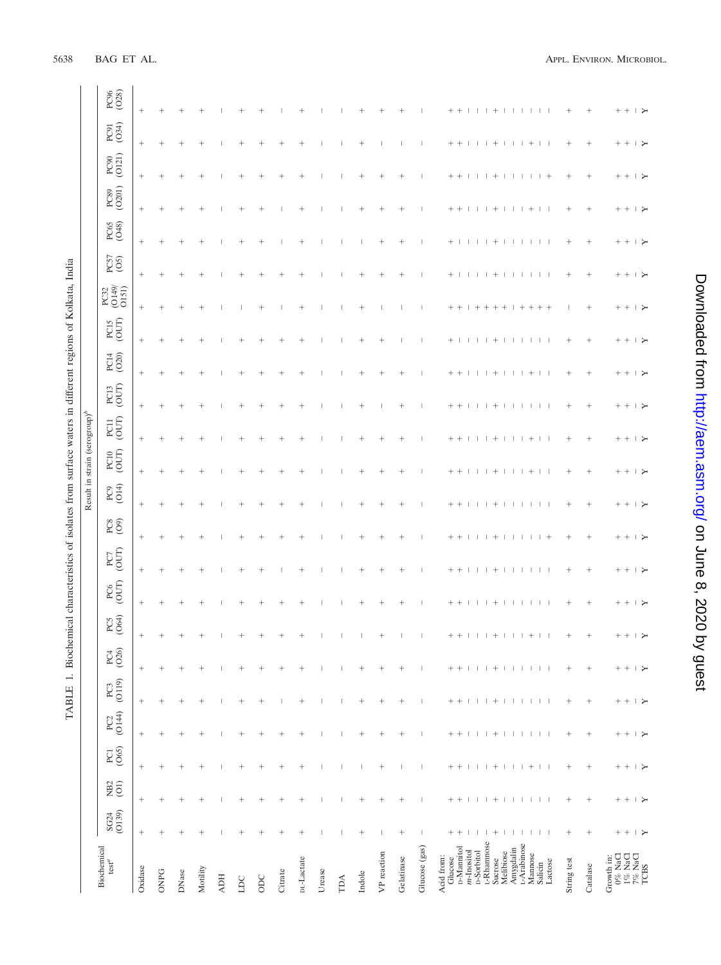| $\overline{a}$           |
|--------------------------|
|                          |
|                          |
|                          |
| î.                       |
| $\ddot{\phantom{0}}$     |
| י<br>ו                   |
|                          |
|                          |
|                          |
|                          |
|                          |
|                          |
|                          |
|                          |
|                          |
| - 1<br>- 1<br>- 1<br>- 1 |
| l                        |
| l                        |
|                          |
| l                        |

|                                                                                                                           |                                      |                                              |                                   |                                                  |                          |                                              |                          |                                 |                                                           |                             |                                        | Result in strain (serogroup) <sup>b</sup> |                          |                         |                                         |                           |                              |                                         |                               |                                 |                                              |               |
|---------------------------------------------------------------------------------------------------------------------------|--------------------------------------|----------------------------------------------|-----------------------------------|--------------------------------------------------|--------------------------|----------------------------------------------|--------------------------|---------------------------------|-----------------------------------------------------------|-----------------------------|----------------------------------------|-------------------------------------------|--------------------------|-------------------------|-----------------------------------------|---------------------------|------------------------------|-----------------------------------------|-------------------------------|---------------------------------|----------------------------------------------|---------------|
| Biochemical<br>$\operatorname{test}^a$                                                                                    | SG24<br>(O139)                       | <b>B</b> <sub>2</sub><br>(O <sub>1</sub> )   | <b>PCI</b><br>(065)               | $PC2$ (O144)                                     | $PC3$ (O119)             | $PC4$<br>(O26)                               | PC5<br>(O64)             | $\frac{PC6}{\text{[OUT]}}$      | $\frac{PC7}{C}$                                           | $\overset{\circ}{\text{C}}$ | $PC9$<br>(O14)                         | $PCD$<br>(OUT)                            | $\frac{PC11}{\rm (OUT)}$ | $\frac{PC13}{(OUT)}$    | $PC14$ (O20)                            | $PCI5$ (OUT)              | $PG2$<br>$(O149)$<br>$O151)$ | PC57<br>(O5)                            | PC65<br>(O48)                 | PC90<br>(O121)<br>$PC89$ (O201) |                                              | PC91<br>(O34) |
| Oxidase                                                                                                                   | $^+$                                 |                                              |                                   |                                                  | $^+$                     | $^{+}$                                       | $^+$                     |                                 | $^{+}$                                                    |                             |                                        | $^{+}$                                    | $^{+}$                   | $^{+}$                  |                                         | $^{+}$                    | $^{+}$                       |                                         |                               | $^+$                            | $^{+}$                                       |               |
| <b>ONPG</b>                                                                                                               | $^{+}$                               | $^{+}$                                       | $^{+}$                            | $^{+}$                                           | $^{+}$                   | $^{+}$                                       | $^{+}$                   | $^{+}$                          | $^{+}$<br>$^{+}$                                          | $^{+}$                      | $^{+}$                                 | $^{+}$                                    | $^{+}$                   | $^{+}$                  | $^{+}$                                  | $^{+}$                    | $^{+}$                       | $^{+}$                                  | $^{+}$                        | $^{+}$                          | $^{+}$                                       |               |
| DNase                                                                                                                     |                                      |                                              | $\! + \!\!\!\!$                   | $^{+}$                                           | $\! + \!\!\!\!$          | $^{+}$                                       | $^{+}$                   | $^{+}$                          | $^{+}$<br>$^{+}$                                          | $^{+}$                      | $^{+}$                                 | $^{+}$                                    | $^{+}$                   | $^{+}$                  | $^{+}$                                  | $^{+}$                    | $^{+}$                       | $^{+}$                                  | $^{+}$                        | $^{+}$                          | $^{+}$                                       |               |
| Motility                                                                                                                  |                                      | $^{+}$                                       | $^{+}$                            | $^{+}$                                           | $^{+}$                   | $^{+}$                                       | $^{+}$                   | $^{+}$                          | $\overline{+}$<br>$^{+}$                                  | $\overline{1}$              | $\overline{+}$                         | $\overline{\phantom{a}}$                  | $^{+}$                   |                         | $^{+}$                                  | $^{+}$                    | $\overline{+}$               | $\overline{+}$                          | $\overline{+}$                | $^{+}$                          | $^{+}$                                       |               |
| <b>ADH</b>                                                                                                                |                                      |                                              |                                   |                                                  | -1                       |                                              |                          |                                 |                                                           |                             |                                        |                                           |                          |                         |                                         |                           |                              |                                         |                               |                                 |                                              |               |
| $\overline{\mathbf{D}}$                                                                                                   |                                      | $^{+}$                                       |                                   | $^{+}$                                           | $^{+}$                   | $^{+}$                                       | $^{+}$                   | $^+$                            |                                                           |                             | $^+$                                   |                                           |                          |                         | $^+$                                    |                           |                              | $^{+}$                                  |                               |                                 |                                              |               |
| $_{\rm ODC}$                                                                                                              | $^+$                                 | $^{+}$                                       | $\! + \!\!\!\!$                   | $^{+}$                                           | $^{+}$                   |                                              | $^+$                     | $^{+}$                          | $^+$<br>$^+$                                              |                             | $\overline{+}$                         |                                           | $^{+}$                   |                         | $^+$                                    | $^+$                      |                              | $^{+}$                                  |                               |                                 |                                              |               |
| Citrate                                                                                                                   | $^{+}$                               | $^{+}$                                       | $^{+}$                            | $^{+}$                                           |                          |                                              | $^+$                     | $^+$                            | $^+$                                                      | $\ddot{}$                   | $^+$                                   |                                           |                          |                         | $^+$                                    |                           |                              |                                         |                               | $^+$                            |                                              |               |
| DL-Lactate                                                                                                                |                                      | $\! + \!\!\!\!$                              |                                   | $\! + \!\!\!\!$                                  | $\! + \!\!\!\!$          | $^{+}$                                       | $\! + \!\!\!\!$          | $^{+}$                          | $^{+}$<br>$^{+}$                                          | $^{+}$                      | $^{+}$                                 | $^{+}$                                    | $^{+}$                   | $^{+}$                  | $^{+}$                                  | $^{+}$                    | $^{+}$                       | $^{+}$                                  | $^{+}$                        | $^{+}$                          | $^{+}$                                       |               |
| Urease                                                                                                                    | $\overline{\phantom{a}}$             | $\overline{\phantom{a}}$                     | $\overline{\phantom{a}}$          |                                                  | $\overline{1}$           | $\overline{\phantom{a}}$                     |                          |                                 |                                                           |                             |                                        |                                           |                          |                         |                                         |                           |                              |                                         |                               |                                 |                                              |               |
| $\mathbb{T}^{\mathbb{A}}$                                                                                                 |                                      | $\overline{\phantom{a}}$                     |                                   |                                                  | -1                       |                                              |                          |                                 |                                                           |                             |                                        |                                           |                          |                         |                                         |                           |                              |                                         |                               |                                 |                                              |               |
| Indole                                                                                                                    |                                      |                                              |                                   | $^{+}$                                           | $^+$                     | $^{+}$                                       |                          | $^+$<br>$^{+}$                  | $^{+}$                                                    | $^{+}$                      | $^{+}$                                 |                                           | $^{+}$                   |                         | $^+$                                    | $^{+}$                    | $^{+}$                       |                                         | $^{+}$                        | $^{+}$                          | $^{+}$                                       |               |
| VP reaction                                                                                                               | $\overline{\phantom{a}}$             |                                              |                                   | $^{+}$                                           |                          | $^{+}$                                       |                          | $^+$<br>$^{+}$                  | $^{+}$                                                    | $^{+}$                      | $^{+}$                                 | $\overline{ }$                            |                          | $\ddot{}$               | $^{+}$                                  |                           | $^{+}$                       | $^{+}$                                  | $^{+}$                        | $^{+}$                          |                                              |               |
| Gelatinase                                                                                                                |                                      | $^{+}$                                       | $\overline{\phantom{a}}$          | $^{+}$                                           |                          | $^{+}$                                       | 1                        | $^{+}$                          | $^{+}$<br>$\hspace{0.1mm} +$                              | $^{+}$                      | $^{+}$                                 | $^{+}$                                    | $^{+}$                   | $^{+}$                  |                                         |                           | $\hspace{0.1mm} +$           | $^{+}$                                  | $\hspace{0.1mm} +$            | $\hspace{0.1mm} +$              |                                              |               |
| Glucose (gas)                                                                                                             | $\overline{\phantom{a}}$             | $\overline{\phantom{a}}$                     | $\overline{\phantom{a}}$          |                                                  | $\overline{\phantom{a}}$ | $\overline{\phantom{a}}$                     | $\overline{\phantom{a}}$ | $\overline{\phantom{a}}$        | -1                                                        |                             |                                        |                                           | $\overline{\phantom{a}}$ |                         |                                         |                           |                              |                                         |                               |                                 | $\overline{\phantom{a}}$                     |               |
| D-Mannitol<br>$m$ -Inositol<br>Acid from:<br>Glucose                                                                      | $+ +$<br>$\perp$                     | $^{+}$<br>$^{+}$<br>$\overline{\phantom{a}}$ | $+$ +<br>$\overline{\phantom{a}}$ | $^{+}$<br>$\! + \!\!\!\!$<br>$\mathbf{I}$        | $+$ +                    | $^{+}$<br>$^{+}$<br>$\overline{\phantom{a}}$ | $+ +$<br>$\mathbf{I}$    | $^{+}$<br>$+$ +<br>$\mathbf{I}$ | $^{+}$<br>$^{+}$<br>$\perp$<br>$^{+}$<br>$\perp$          | $^{+}$<br>$^{+}$            | $+$ +<br>$\overline{1}$                | $\pm$<br>$^{+}$                           | $^+$<br>$^{+}$           | $+$ +<br>$\overline{1}$ | $+$ 1<br>$\perp$                        | $+$ +<br>-1               | $^+$<br>$\overline{1}$       | $^{+}$<br>$\perp$<br>-11                | $^{+}$<br>$^{+}$<br>$\perp$   | $+$ +<br>$\perp$                | $^{+}$<br>$^{+}$<br>$\overline{\phantom{a}}$ |               |
| <b>D-Sorbitol</b><br>L-Rhamnose                                                                                           | $1 +$                                | $\perp$<br>-1                                | $\overline{1}$                    | $\perp$<br>-1                                    | $1111+$                  | $\mathbf{I}$<br>$\mathbf{I}$                 | - 1                      | $\perp$<br>$\mathbf{I}$         | л<br>П                                                    |                             | -1<br>$\overline{1}$                   |                                           |                          |                         | $\Box$<br>- 11                          | $+ + + +$                 | $\mathbf{I}$<br>-1           | -1                                      | $\mathbf{I}$<br>- 1           | $\mathbf{I}$<br>$\mathbf{I}$    | -1<br>-1                                     |               |
| Melibiose<br>Sucrose                                                                                                      | Τ.                                   | $^{+}$<br>$\mathbf{I}$                       | $+$<br>$\mathbf{I}$               | $\begin{array}{c} + \end{array}$<br>$\mathbf{I}$ | $\perp$                  | $^{+}$<br>Τ.                                 | $1 + 11$                 | $^{+}$<br>$+$<br>$\perp$<br>- 1 | $^{+}$<br>J.                                              | $^{+}$                      | $+$<br>п.                              | $^{+}$                                    | $^{+}$                   | $^{+}$                  | $^{+}$<br>$\mathbf{I}$                  |                           | $^{+}$<br>$\mathbf{I}$       | $^{+}$                                  | $^{+}$<br>л.                  | $+$<br>$\perp$                  | $^{+}$<br>$\mathbf{I}$                       |               |
| L-Arabinose<br>Amygdalin                                                                                                  | - 11<br>$\mathbf{I}$<br>$\mathbf{I}$ | $\mathbf{I}$<br>Τ.<br>л.                     | $+$<br>$\mathbf{L}$               | $\mathbf{I}$<br>-1<br>$\perp$                    | 1 1 1 1 1                | $\mathbf{I}$<br>$\mathbf{I}$<br>$\mathbf{I}$ | $+$<br>- 11              | $\perp$<br>$\mathbf{I}$         | $\mathbf{I}$<br>$\perp$<br>Ι.<br>$\overline{\phantom{a}}$ |                             | $\! + \!\!\!\!$<br>$\mathbf{I}$<br>- 1 | $^{+}$                                    | $\mathbf{I}$             | $\! + \!\!\!\!$         | $\perp$<br>$\mathbf{I}$<br>$\mathbf{I}$ | $\mathbf{I}$<br>$+ + + +$ | -1<br>$\perp$<br>-1          | $\mathbf{I}$<br>$\mathbf{1}$<br>$\perp$ | $^{+}$<br>$\mathbf{I}$<br>- 1 | $\mathbf{I}$<br>$\perp$         | $^{+}$<br>л.                                 |               |
| Mannose<br>Salicin<br>Lactose                                                                                             | т.                                   | т.<br>$\overline{\phantom{a}}$               | $\perp$                           | т.                                               |                          | $\begin{array}{c} \hline \end{array}$        | $\perp$                  | $\mathbf{L}$                    | $^{+}$<br>$\mathbf{L}$<br>-1                              | $\mathbf{I}$                | $\mathbf{L}$                           |                                           | -1                       | -1                      | $\mathbf{L}$                            |                           | $\mathbf{I}$                 | $\mathbb{L}$<br>- 1                     | п.                            | $+$ $+$                         | $\mathbf{I}$                                 |               |
| String test                                                                                                               |                                      | $^{+}$                                       | $^{+}$                            | $^{+}$                                           | $^{+}$                   | $^+$                                         | $^+$                     | $^{+}$                          | $^{+}$<br>$^+$                                            | $^{+}$                      | $^+$                                   | $^{+}$                                    | $^+$                     | $^{+}$                  | $^+$                                    |                           | $^{+}$                       | $^{+}$                                  | $^{+}$                        | $^+$                            | $^+$                                         |               |
| Catalase                                                                                                                  |                                      | $^+$                                         | $\! + \!\!\!\!$                   | $\! + \!\!\!\!$                                  | $^+$                     | $\! + \!\!\!\!$                              |                          | $\! + \!\!\!\!$                 | $\! + \!\!\!\!$                                           |                             | $\! + \!\!\!\!$                        | $\! + \!\!\!\!$                           | $^{+}$                   |                         |                                         |                           | $^{+}$                       |                                         | $\! + \!\!\!\!$               |                                 | $\! + \!\!\!\!$                              |               |
| $\begin{array}{l} \text{Growth in: } \\ \text{0\% NaCl} \\ \text{1\% NaCl} \\ \text{7\% NaCl} \\ \text{TCBS} \end{array}$ | $+ + + +$                            | $+ + + +$                                    | $+ + + +$                         | $+ +$<br>∣≻                                      | $+ + + +$                | $+$ +<br>$\rightarrow$                       | $+ + + +$                | $+ + + +$<br>$+ + + +$          | $+ + + +$                                                 | $+ + + +$                   | $+ + + +$                              | $+ + + +$                                 | $+ + + +$                | $+ + + +$               | $+ + + +$                               | $+ + + +$                 | $+ + + +$                    | $+ + + +$                               | $+ + + +$                     | $+ + + +$                       | $+ + + +$                                    |               |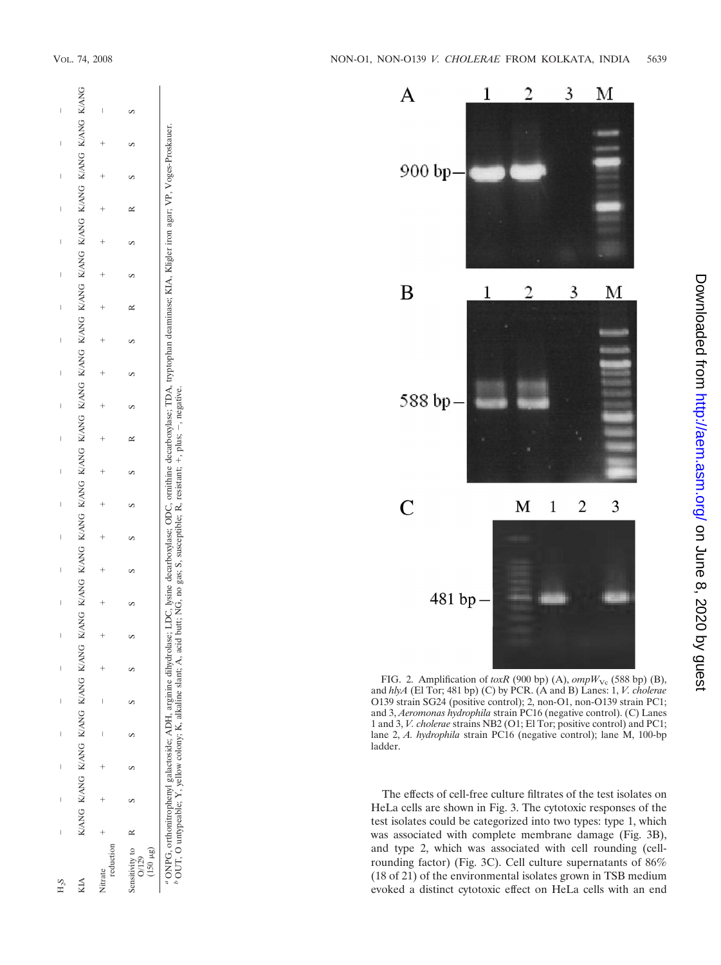

*b* OUT, O untypeable; Y, yellow colony; K, alkaline slant; A, acid butt; NG, no gas; S, susceptible; R, resistant; +, plus; -, negative.



FIG. 2. Amplification of  $\text{toxR}$  (900 bp) (A),  $\text{ompW}_{\text{Vc}}$  (588 bp) (B), and *hlyA* (El Tor; 481 bp) (C) by PCR. (A and B) Lanes: 1, *V. cholerae* O139 strain SG24 (positive control); 2, non-O1, non-O139 strain PC1; and 3, *Aeromonas hydrophila* strain PC16 (negative control). (C) Lanes 1 and 3, *V. cholerae* strains NB2 (O1; El Tor; positive control) and PC1; lane 2, *A. hydrophila* strain PC16 (negative control); lane M, 100-bp ladder.

The effects of cell-free culture filtrates of the test isolates on HeLa cells are shown in Fig. 3. The cytotoxic responses of the test isolates could be categorized into two types: type 1, which was associated with complete membrane damage (Fig. 3B), and type 2, which was associated with cell rounding (cellrounding factor) (Fig. 3C). Cell culture supernatants of 86% (18 of 21) of the environmental isolates grown in TSB medium evoked a distinct cytotoxic effect on HeLa cells with an end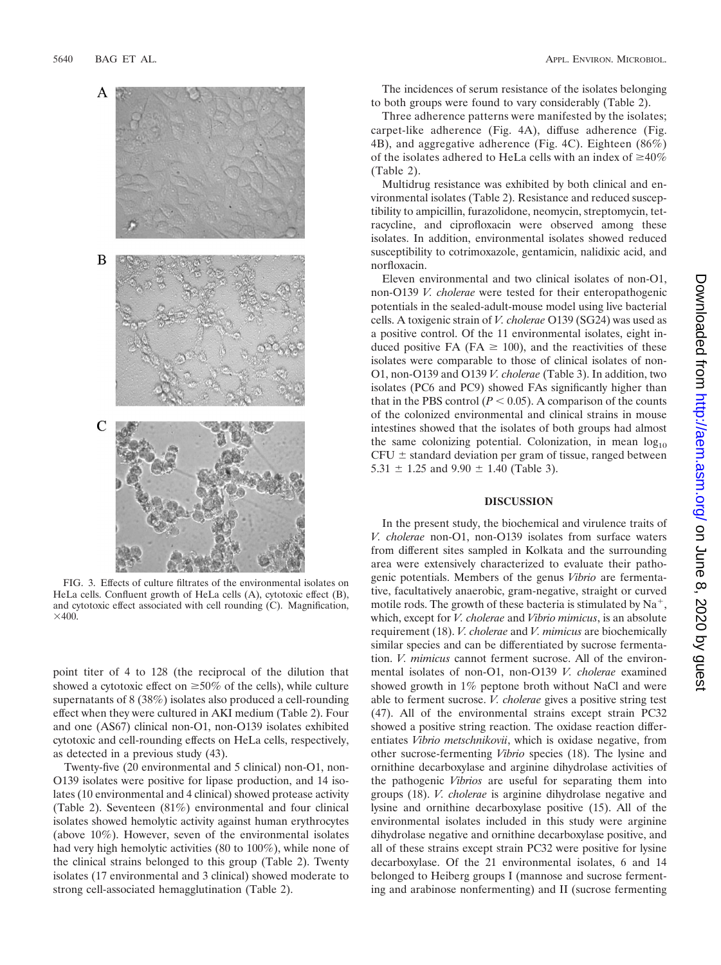

FIG. 3. Effects of culture filtrates of the environmental isolates on HeLa cells. Confluent growth of HeLa cells (A), cytotoxic effect (B), and cytotoxic effect associated with cell rounding (C). Magnification,  $\times$ 400.

point titer of 4 to 128 (the reciprocal of the dilution that showed a cytotoxic effect on  $\geq 50\%$  of the cells), while culture supernatants of 8 (38%) isolates also produced a cell-rounding effect when they were cultured in AKI medium (Table 2). Four and one (AS67) clinical non-O1, non-O139 isolates exhibited cytotoxic and cell-rounding effects on HeLa cells, respectively, as detected in a previous study (43).

Twenty-five (20 environmental and 5 clinical) non-O1, non-O139 isolates were positive for lipase production, and 14 isolates (10 environmental and 4 clinical) showed protease activity (Table 2). Seventeen (81%) environmental and four clinical isolates showed hemolytic activity against human erythrocytes (above 10%). However, seven of the environmental isolates had very high hemolytic activities (80 to 100%), while none of the clinical strains belonged to this group (Table 2). Twenty isolates (17 environmental and 3 clinical) showed moderate to strong cell-associated hemagglutination (Table 2).

The incidences of serum resistance of the isolates belonging to both groups were found to vary considerably (Table 2).

Three adherence patterns were manifested by the isolates; carpet-like adherence (Fig. 4A), diffuse adherence (Fig. 4B), and aggregative adherence (Fig. 4C). Eighteen (86%) of the isolates adhered to HeLa cells with an index of  $\geq 40\%$ (Table 2).

Multidrug resistance was exhibited by both clinical and environmental isolates (Table 2). Resistance and reduced susceptibility to ampicillin, furazolidone, neomycin, streptomycin, tetracycline, and ciprofloxacin were observed among these isolates. In addition, environmental isolates showed reduced susceptibility to cotrimoxazole, gentamicin, nalidixic acid, and norfloxacin.

Eleven environmental and two clinical isolates of non-O1, non-O139 *V. cholerae* were tested for their enteropathogenic potentials in the sealed-adult-mouse model using live bacterial cells. A toxigenic strain of *V. cholerae* O139 (SG24) was used as a positive control. Of the 11 environmental isolates, eight induced positive FA (FA  $\geq$  100), and the reactivities of these isolates were comparable to those of clinical isolates of non-O1, non-O139 and O139 *V. cholerae* (Table 3). In addition, two isolates (PC6 and PC9) showed FAs significantly higher than that in the PBS control  $(P < 0.05)$ . A comparison of the counts of the colonized environmental and clinical strains in mouse intestines showed that the isolates of both groups had almost the same colonizing potential. Colonization, in mean  $log_{10}$  $CFU \pm$  standard deviation per gram of tissue, ranged between 5.31  $\pm$  1.25 and 9.90  $\pm$  1.40 (Table 3).

## **DISCUSSION**

In the present study, the biochemical and virulence traits of *V. cholerae* non-O1, non-O139 isolates from surface waters from different sites sampled in Kolkata and the surrounding area were extensively characterized to evaluate their pathogenic potentials. Members of the genus *Vibrio* are fermentative, facultatively anaerobic, gram-negative, straight or curved motile rods. The growth of these bacteria is stimulated by  $Na^+$ , which, except for *V. cholerae* and *Vibrio mimicus*, is an absolute requirement (18). *V. cholerae* and *V. mimicus* are biochemically similar species and can be differentiated by sucrose fermentation. *V. mimicus* cannot ferment sucrose. All of the environmental isolates of non-O1, non-O139 *V. cholerae* examined showed growth in 1% peptone broth without NaCl and were able to ferment sucrose. *V. cholerae* gives a positive string test (47). All of the environmental strains except strain PC32 showed a positive string reaction. The oxidase reaction differentiates *Vibrio metschnikovii*, which is oxidase negative, from other sucrose-fermenting *Vibrio* species (18). The lysine and ornithine decarboxylase and arginine dihydrolase activities of the pathogenic *Vibrios* are useful for separating them into groups (18). *V. cholerae* is arginine dihydrolase negative and lysine and ornithine decarboxylase positive (15). All of the environmental isolates included in this study were arginine dihydrolase negative and ornithine decarboxylase positive, and all of these strains except strain PC32 were positive for lysine decarboxylase. Of the 21 environmental isolates, 6 and 14 belonged to Heiberg groups I (mannose and sucrose fermenting and arabinose nonfermenting) and II (sucrose fermenting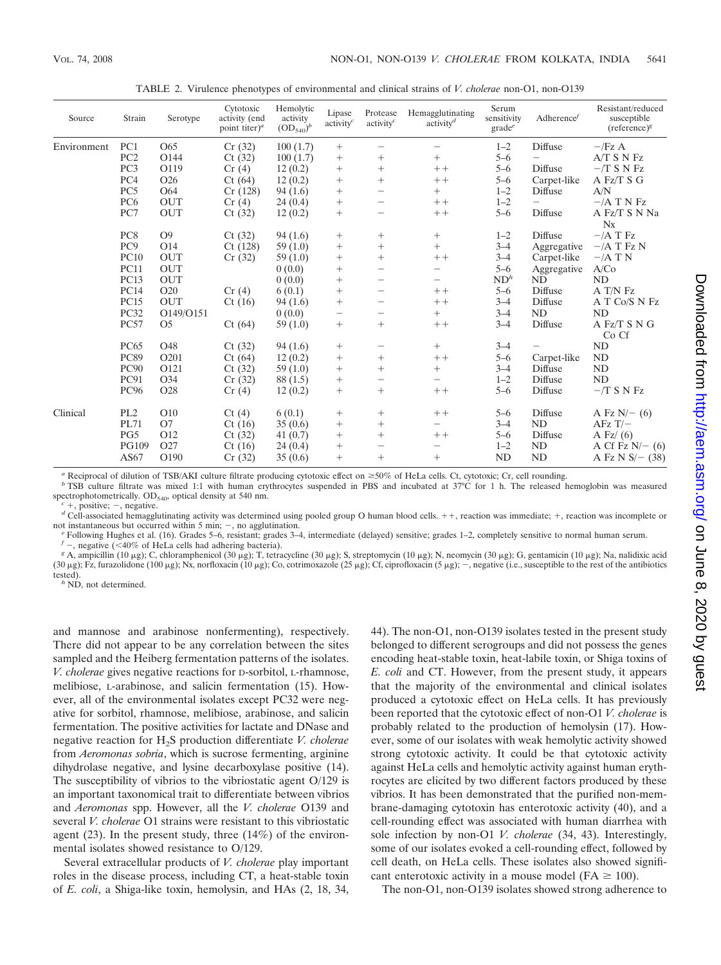| Source      | Strain          | Serotype        | Cytotoxic<br>activity (end<br>point titer) <sup><math>a</math></sup> | Hemolytic<br>activity<br>$(OD_{540})^{b}$ | Lipase<br>activity <sup>c</sup> | Protease<br>activity <sup>c</sup>  | Hemagglutinating<br>$\arctivitv^d$ | Serum<br>sensitivity<br>$grade^e$ | Adherence $f$ | Resistant/reduced<br>susceptible<br>$(reference)^g$ |
|-------------|-----------------|-----------------|----------------------------------------------------------------------|-------------------------------------------|---------------------------------|------------------------------------|------------------------------------|-----------------------------------|---------------|-----------------------------------------------------|
| Environment | PC1             | O65             | Cr(32)                                                               | 100(1.7)                                  | $^{+}$                          | -                                  |                                    | $1 - 2$                           | Diffuse       | $ /$ Fz A                                           |
|             | PC <sub>2</sub> | O144            | Ct(32)                                                               | 100(1.7)                                  | $^{+}$                          | $^{+}$                             | $^{+}$                             | $5 - 6$                           |               | $ATS$ N $Fz$                                        |
|             | PC3             | O119            | Cr(4)                                                                | 12(0.2)                                   | $^{+}$                          | $^{+}$                             | $++$                               | $5 - 6$                           | Diffuse       | $-$ T S N Fz                                        |
|             | PC <sub>4</sub> | O <sub>26</sub> | Ct(64)                                                               | 12(0.2)                                   | $^{+}$                          | $^{+}$                             | $++$                               | $5 - 6$                           | Carpet-like   | A Fz/T S G                                          |
|             | PC <sub>5</sub> | O64             | Cr(128)                                                              | 94(1.6)                                   | $^{+}$                          | $\overline{\phantom{0}}$           | $^{+}$                             | $1 - 2$                           | Diffuse       | A/N                                                 |
|             | PC <sub>6</sub> | <b>OUT</b>      | Cr(4)                                                                | 24(0.4)                                   | $\! + \!\!\!\!$                 | -                                  | $++$                               | $1 - 2$                           |               | $-/A$ T N Fz                                        |
|             | PC7             | <b>OUT</b>      | Ct(32)                                                               | 12(0.2)                                   | $^{+}$                          |                                    | $++$                               | $5 - 6$                           | Diffuse       | A Fz/T S N Na<br>$N_{X}$                            |
|             | PC <sub>8</sub> | O <sub>9</sub>  | Ct(32)                                                               | 94(1.6)                                   | $^{+}$                          | $^{+}$                             | $^{+}$                             | $1 - 2$                           | Diffuse       | $-/A$ T $\rm{Fz}$                                   |
|             | PC <sub>9</sub> | O14             | Ct(128)                                                              | 59(1.0)                                   |                                 | $^{+}$                             | $^{+}$                             | $3 - 4$                           | Aggregative   | $-/A$ T Fz N                                        |
|             | <b>PC10</b>     | <b>OUT</b>      | Cr(32)                                                               | 59(1.0)                                   | $^{+}$                          | $^{+}$                             | $++$                               | $3 - 4$                           | Carpet-like   | $-/A$ T N                                           |
|             | <b>PC11</b>     | <b>OUT</b>      |                                                                      | 0(0.0)                                    | $\! + \!\!\!\!$                 | $\overline{\phantom{0}}$           | $\overline{\phantom{0}}$           | $5 - 6$                           | Aggregative   | A/Co                                                |
|             | <b>PC13</b>     | <b>OUT</b>      |                                                                      | 0(0.0)                                    | $^{+}$                          |                                    | $\qquad \qquad -$                  | ND <sup>h</sup>                   | ND            | ND                                                  |
|             | <b>PC14</b>     | O <sub>20</sub> | Cr(4)                                                                | 6(0.1)                                    |                                 |                                    | $++$                               | $5 - 6$                           | Diffuse       | A T/N Fz                                            |
|             | <b>PC15</b>     | <b>OUT</b>      | Ct(16)                                                               | 94(1.6)                                   | $^{+}$                          |                                    | $++$                               | $3 - 4$                           | Diffuse       | A T Co/S N Fz                                       |
|             | PC32            | O149/O151       |                                                                      | 0(0.0)                                    | $\overbrace{\phantom{1232211}}$ | -                                  | $^{+}$                             | $3 - 4$                           | <b>ND</b>     | ND                                                  |
|             | PC57            | O <sub>5</sub>  | Ct(64)                                                               | 59(1.0)                                   | $^{+}$                          | $^{+}$                             | $++$                               | $3 - 4$                           | Diffuse       | A Fz/T S N G<br>Co Cf                               |
|             | <b>PC65</b>     | O48             | Ct(32)                                                               | 94(1.6)                                   | $^{+}$                          | -                                  | $^{+}$                             | $3 - 4$                           |               | ND                                                  |
|             | <b>PC89</b>     | O201            | Ct(64)                                                               | 12(0.2)                                   | $^{+}$                          | $^+$                               | $++$                               | $5 - 6$                           | Carpet-like   | ND                                                  |
|             | <b>PC90</b>     | O121            | Ct(32)                                                               | 59(1.0)                                   | $^{+}$                          | $^{+}$                             | $^{+}$                             | $3 - 4$                           | Diffuse       | ND                                                  |
|             | PC91            | O34             | Cr(32)                                                               | 88 (1.5)                                  | $\! + \!\!\!\!$                 | -                                  | $\overline{\phantom{0}}$           | $1 - 2$                           | Diffuse       | ND                                                  |
|             | PC96            | O28             | Cr(4)                                                                | 12(0.2)                                   | $^{+}$                          | $^{+}$                             | $++$                               | $5 - 6$                           | Diffuse       | $-$ T S N Fz                                        |
| Clinical    | PL <sub>2</sub> | O10             | Ct(4)                                                                | 6(0.1)                                    | $^{+}$                          | $^{+}$                             | $++$                               | $5 - 6$                           | Diffuse       | A Fz $N$ – (6)                                      |
|             | PL71            | O7              | Ct(16)                                                               | 35(0.6)                                   | $^{+}$                          | $^{+}$                             | $\qquad \qquad -$                  | $3 - 4$                           | <b>ND</b>     | $AFzT$ /-                                           |
|             | PG5             | O12             | Ct(32)                                                               | 41(0.7)                                   | $^{+}$                          | $^{+}$                             | $++$                               | $5 - 6$                           | Diffuse       | A Fz $(6)$                                          |
|             | PG109<br>AS67   | O27<br>O190     | Ct(16)<br>Cr(32)                                                     | 24(0.4)<br>35(0.6)                        | $^{+}$<br>$^{+}$                | $\overline{\phantom{0}}$<br>$^{+}$ | $\overline{\phantom{0}}$<br>$^{+}$ | $1 - 2$<br><b>ND</b>              | ND<br>ND      | A Cf Fz $N$ – (6)<br>A Fz N $S$ /- (38)             |

TABLE 2. Virulence phenotypes of environmental and clinical strains of *V. cholerae* non-O1, non-O139

<sup>a</sup> Reciprocal of dilution of TSB/AKI culture filtrate producing cytotoxic effect on  $\geq$ 50% of HeLa cells. Ct, cytotoxic; Cr, cell rounding.<br><sup>b</sup> TSB culture filtrate was mixed 1:1 with human erythrocytes suspended in PB

 $c +$ , positive;  $-$ , negative.<br>
d'Cell-associated hemagglutinating activity was determined using pooled group O human blood cells. ++, reaction was immediate; +, reaction was incomplete or not instantaneous but occurred w

<sup>e</sup> Following Hughes et al. (16). Grades 5–6, resistant, grades 3–4, intermediate (delayed) sensitive; grades 1–2, completely sensitive to normal human serum.  $f -$ , negative (<40% of HeLa cells had adhering bacteria). f –, negative (<40% of HeLa cells had adhering bacteria).<br><sup>β</sup> A, ampicillin (10 μg); C, chloramphenicol (30 μg); T, tetracycline (30 μg); S, streptomycin (10 μg); N, neomycin (30 μg); G, gentamicin (10 μg); Na, nalidixic

(30  $\mu$ g); Fz, furazolidone (100  $\mu$ g); Nx, norfloxacin (10  $\mu$ g); Co, cotrimoxazole (25  $\mu$ g); Cf, ciprofloxacin (5  $\mu$ g); –, negative (i.e., susceptible to the rest of the antibiotics tested). *<sup>h</sup>* ND, not determined.

and mannose and arabinose nonfermenting), respectively. There did not appear to be any correlation between the sites sampled and the Heiberg fermentation patterns of the isolates. *V. cholerae* gives negative reactions for D-sorbitol, L-rhamnose, melibiose, L-arabinose, and salicin fermentation (15). However, all of the environmental isolates except PC32 were negative for sorbitol, rhamnose, melibiose, arabinose, and salicin fermentation. The positive activities for lactate and DNase and negative reaction for H2S production differentiate *V. cholerae* from *Aeromonas sobria*, which is sucrose fermenting, arginine dihydrolase negative, and lysine decarboxylase positive (14). The susceptibility of vibrios to the vibriostatic agent O/129 is an important taxonomical trait to differentiate between vibrios and *Aeromonas* spp. However, all the *V. cholerae* O139 and several *V. cholerae* O1 strains were resistant to this vibriostatic agent (23). In the present study, three (14%) of the environmental isolates showed resistance to O/129.

Several extracellular products of *V. cholerae* play important roles in the disease process, including CT, a heat-stable toxin of *E. coli*, a Shiga-like toxin, hemolysin, and HAs (2, 18, 34, 44). The non-O1, non-O139 isolates tested in the present study belonged to different serogroups and did not possess the genes encoding heat-stable toxin, heat-labile toxin, or Shiga toxins of *E. coli* and CT. However, from the present study, it appears that the majority of the environmental and clinical isolates produced a cytotoxic effect on HeLa cells. It has previously been reported that the cytotoxic effect of non-O1 *V. cholerae* is probably related to the production of hemolysin (17). However, some of our isolates with weak hemolytic activity showed strong cytotoxic activity. It could be that cytotoxic activity against HeLa cells and hemolytic activity against human erythrocytes are elicited by two different factors produced by these vibrios. It has been demonstrated that the purified non-membrane-damaging cytotoxin has enterotoxic activity (40), and a cell-rounding effect was associated with human diarrhea with sole infection by non-O1 *V. cholerae* (34, 43). Interestingly, some of our isolates evoked a cell-rounding effect, followed by cell death, on HeLa cells. These isolates also showed significant enterotoxic activity in a mouse model ( $FA \geq 100$ ).

The non-O1, non-O139 isolates showed strong adherence to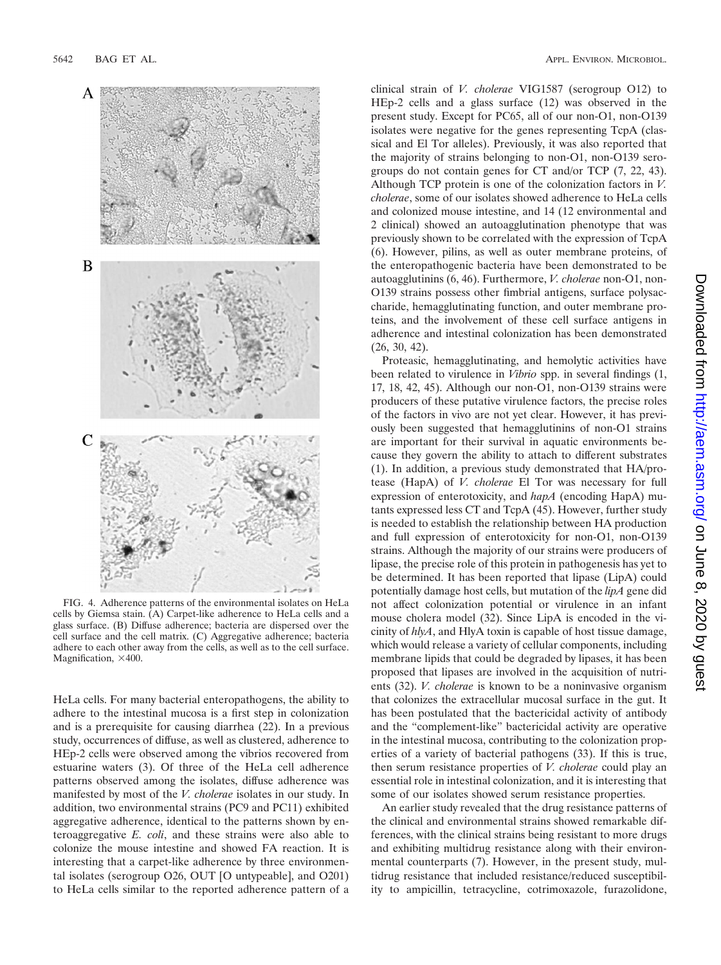

FIG. 4. Adherence patterns of the environmental isolates on HeLa cells by Giemsa stain. (A) Carpet-like adherence to HeLa cells and a glass surface. (B) Diffuse adherence; bacteria are dispersed over the cell surface and the cell matrix. (C) Aggregative adherence; bacteria adhere to each other away from the cells, as well as to the cell surface. Magnification,  $\times$ 400.

HeLa cells. For many bacterial enteropathogens, the ability to adhere to the intestinal mucosa is a first step in colonization and is a prerequisite for causing diarrhea (22). In a previous study, occurrences of diffuse, as well as clustered, adherence to HEp-2 cells were observed among the vibrios recovered from estuarine waters (3). Of three of the HeLa cell adherence patterns observed among the isolates, diffuse adherence was manifested by most of the *V. cholerae* isolates in our study. In addition, two environmental strains (PC9 and PC11) exhibited aggregative adherence, identical to the patterns shown by enteroaggregative *E. coli*, and these strains were also able to colonize the mouse intestine and showed FA reaction. It is interesting that a carpet-like adherence by three environmental isolates (serogroup O26, OUT [O untypeable], and O201) to HeLa cells similar to the reported adherence pattern of a clinical strain of *V. cholerae* VIG1587 (serogroup O12) to HEp-2 cells and a glass surface (12) was observed in the present study. Except for PC65, all of our non-O1, non-O139 isolates were negative for the genes representing TcpA (classical and El Tor alleles). Previously, it was also reported that the majority of strains belonging to non-O1, non-O139 serogroups do not contain genes for CT and/or TCP (7, 22, 43). Although TCP protein is one of the colonization factors in *V. cholerae*, some of our isolates showed adherence to HeLa cells and colonized mouse intestine, and 14 (12 environmental and 2 clinical) showed an autoagglutination phenotype that was previously shown to be correlated with the expression of TcpA (6). However, pilins, as well as outer membrane proteins, of the enteropathogenic bacteria have been demonstrated to be autoagglutinins (6, 46). Furthermore, *V. cholerae* non-O1, non-O139 strains possess other fimbrial antigens, surface polysaccharide, hemagglutinating function, and outer membrane proteins, and the involvement of these cell surface antigens in adherence and intestinal colonization has been demonstrated (26, 30, 42).

Proteasic, hemagglutinating, and hemolytic activities have been related to virulence in *Vibrio* spp. in several findings (1, 17, 18, 42, 45). Although our non-O1, non-O139 strains were producers of these putative virulence factors, the precise roles of the factors in vivo are not yet clear. However, it has previously been suggested that hemagglutinins of non-O1 strains are important for their survival in aquatic environments because they govern the ability to attach to different substrates (1). In addition, a previous study demonstrated that HA/protease (HapA) of *V. cholerae* El Tor was necessary for full expression of enterotoxicity, and *hapA* (encoding HapA) mutants expressed less CT and TcpA (45). However, further study is needed to establish the relationship between HA production and full expression of enterotoxicity for non-O1, non-O139 strains. Although the majority of our strains were producers of lipase, the precise role of this protein in pathogenesis has yet to be determined. It has been reported that lipase (LipA) could potentially damage host cells, but mutation of the *lipA* gene did not affect colonization potential or virulence in an infant mouse cholera model (32). Since LipA is encoded in the vicinity of *hlyA*, and HlyA toxin is capable of host tissue damage, which would release a variety of cellular components, including membrane lipids that could be degraded by lipases, it has been proposed that lipases are involved in the acquisition of nutrients (32). *V. cholerae* is known to be a noninvasive organism that colonizes the extracellular mucosal surface in the gut. It has been postulated that the bactericidal activity of antibody and the "complement-like" bactericidal activity are operative in the intestinal mucosa, contributing to the colonization properties of a variety of bacterial pathogens (33). If this is true, then serum resistance properties of *V. cholerae* could play an essential role in intestinal colonization, and it is interesting that some of our isolates showed serum resistance properties.

An earlier study revealed that the drug resistance patterns of the clinical and environmental strains showed remarkable differences, with the clinical strains being resistant to more drugs and exhibiting multidrug resistance along with their environmental counterparts (7). However, in the present study, multidrug resistance that included resistance/reduced susceptibility to ampicillin, tetracycline, cotrimoxazole, furazolidone,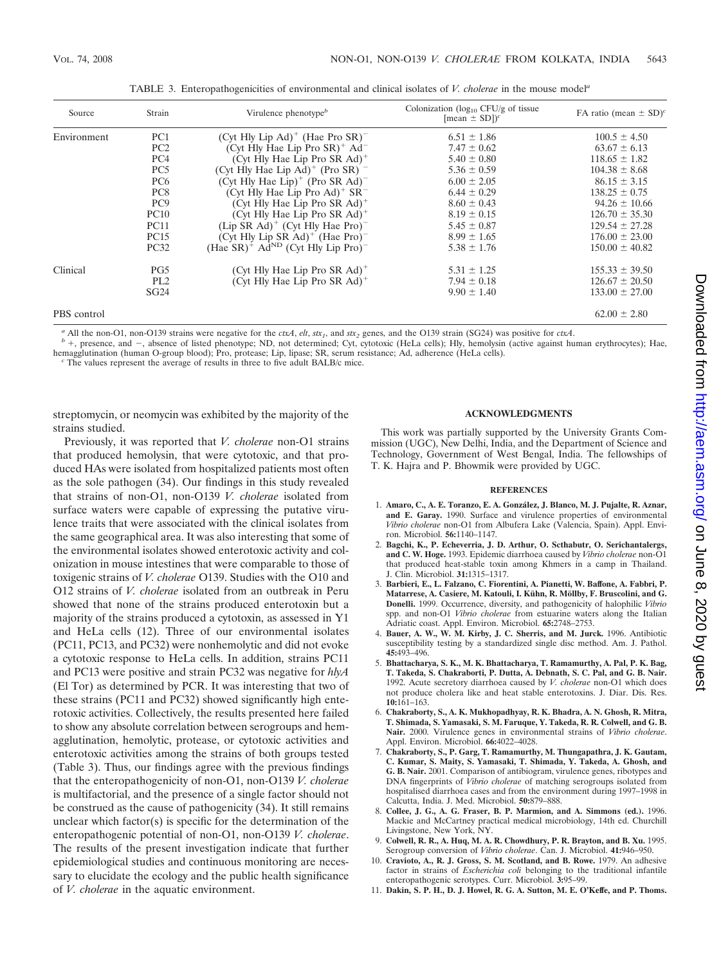| Source      | Strain          | Virulence phenotype $\mathbf{e}^b$                       | Colonization ( $log_{10}$ CFU/g of tissue<br>[mean $\pm$ SD]) <sup>c</sup> | FA ratio (mean $\pm$ SD) <sup>c</sup> |
|-------------|-----------------|----------------------------------------------------------|----------------------------------------------------------------------------|---------------------------------------|
| Environment | PC <sub>1</sub> | (Cyt Hly Lip Ad) <sup>+</sup> (Hae Pro SR) <sup>-</sup>  | $6.51 \pm 1.86$                                                            | $100.5 \pm 4.50$                      |
|             | PC <sub>2</sub> | (Cyt Hly Hae Lip Pro $SR$ ) <sup>+</sup> Ad <sup>-</sup> | $7.47 \pm 0.62$                                                            | $63.67 \pm 6.13$                      |
|             | PC <sub>4</sub> | (Cyt Hly Hae Lip Pro SR Ad) <sup>+</sup>                 | $5.40 \pm 0.80$                                                            | $118.65 \pm 1.82$                     |
|             | PC <sub>5</sub> | (Cyt Hly Hae Lip Ad) <sup>+</sup> (Pro SR) $^{-}$        | $5.36 \pm 0.59$                                                            | $104.38 \pm 8.68$                     |
|             | PC <sub>6</sub> | (Cyt Hly Hae Lip) <sup>+</sup> (Pro SR Ad) <sup>-</sup>  | $6.00 \pm 2.05$                                                            | $86.15 \pm 3.15$                      |
|             | PC <sub>8</sub> | (Cyt Hly Hae Lip Pro Ad) <sup>+</sup> $SR^-$             | $6.44 \pm 0.29$                                                            | $138.25 \pm 0.75$                     |
|             | PC <sub>9</sub> | (Cyt Hly Hae Lip Pro SR Ad) <sup>+</sup>                 | $8.60 \pm 0.43$                                                            | $94.26 \pm 10.66$                     |
|             | PC10            | (Cyt Hly Hae Lip Pro SR Ad) <sup>+</sup>                 | $8.19 \pm 0.15$                                                            | $126.70 \pm 35.30$                    |
|             | <b>PC11</b>     | $(Lip SR Ad)^+$ (Cyt Hly Hae Pro) <sup>-</sup>           | $5.45 \pm 0.87$                                                            | $129.54 \pm 27.28$                    |
|             | <b>PC15</b>     | (Cyt Hly Lip SR Ad) <sup>+</sup> (Hae Pro) <sup>-</sup>  | $8.99 \pm 1.65$                                                            | $176.00 \pm 23.00$                    |
|             | <b>PC32</b>     | $(Hae SR)^+ AdND (Cvt Hly Lip Pro)-$                     | $5.38 \pm 1.76$                                                            | $150.00 \pm 40.82$                    |
| Clinical    | PG5             | (Cyt Hly Hae Lip Pro SR Ad) <sup>+</sup>                 | $5.31 \pm 1.25$                                                            | $155.33 \pm 39.50$                    |
|             | PL <sub>2</sub> | (Cyt Hly Hae Lip Pro SR $Ad$ ) <sup>+</sup>              | $7.94 \pm 0.18$                                                            | $126.67 \pm 20.50$                    |
|             | SG24            |                                                          | $9.90 \pm 1.40$                                                            | $133.00 \pm 27.00$                    |
| PBS control |                 |                                                          |                                                                            | $62.00 \pm 2.80$                      |

TABLE 3. Enteropathogenicities of environmental and clinical isolates of *V. cholerae* in the mouse model*<sup>a</sup>*

<sup>a</sup> All the non-O1, non-O139 strains were negative for the *ctxA*, *elt*, *stx<sub>1</sub>*, and *stx*<sub>2</sub> genes, and the O139 strain (SG24) was positive for *ctxA*.<br><sup>b</sup> +, presence, and -, absence of listed phenotype; ND, not dete hemagglutination (human O-group blood); Pro, protease; Lip, lipase; SR, serum resistance; Ad, adherence (HeLa cells). *<sup>c</sup>* The values represent the average of results in three to five adult BALB/c mice.

streptomycin, or neomycin was exhibited by the majority of the strains studied.

Previously, it was reported that *V. cholerae* non-O1 strains that produced hemolysin, that were cytotoxic, and that produced HAs were isolated from hospitalized patients most often as the sole pathogen (34). Our findings in this study revealed that strains of non-O1, non-O139 *V. cholerae* isolated from surface waters were capable of expressing the putative virulence traits that were associated with the clinical isolates from the same geographical area. It was also interesting that some of the environmental isolates showed enterotoxic activity and colonization in mouse intestines that were comparable to those of toxigenic strains of *V. cholerae* O139. Studies with the O10 and O12 strains of *V. cholerae* isolated from an outbreak in Peru showed that none of the strains produced enterotoxin but a majority of the strains produced a cytotoxin, as assessed in Y1 and HeLa cells (12). Three of our environmental isolates (PC11, PC13, and PC32) were nonhemolytic and did not evoke a cytotoxic response to HeLa cells. In addition, strains PC11 and PC13 were positive and strain PC32 was negative for *hlyA* (El Tor) as determined by PCR. It was interesting that two of these strains (PC11 and PC32) showed significantly high enterotoxic activities. Collectively, the results presented here failed to show any absolute correlation between serogroups and hemagglutination, hemolytic, protease, or cytotoxic activities and enterotoxic activities among the strains of both groups tested (Table 3). Thus, our findings agree with the previous findings that the enteropathogenicity of non-O1, non-O139 *V. cholerae* is multifactorial, and the presence of a single factor should not be construed as the cause of pathogenicity (34). It still remains unclear which factor(s) is specific for the determination of the enteropathogenic potential of non-O1, non-O139 *V. cholerae*. The results of the present investigation indicate that further epidemiological studies and continuous monitoring are necessary to elucidate the ecology and the public health significance of *V. cholerae* in the aquatic environment.

## **ACKNOWLEDGMENTS**

This work was partially supported by the University Grants Commission (UGC), New Delhi, India, and the Department of Science and Technology, Government of West Bengal, India. The fellowships of T. K. Hajra and P. Bhowmik were provided by UGC.

#### **REFERENCES**

- 1. **Amaro, C., A. E. Toranzo, E. A. Gonza´lez, J. Blanco, M. J. Pujalte, R. Aznar, and E. Garay.** 1990. Surface and virulence properties of environmental *Vibrio cholerae* non-O1 from Albufera Lake (Valencia, Spain). Appl. Environ. Microbiol. **56:**1140–1147.
- 2. **Bagchi, K., P. Echeverria, J. D. Arthur, O. Scthabutr, O. Serichantalergs, and C. W. Hoge.** 1993. Epidemic diarrhoea caused by *Vibrio cholerae* non-O1 that produced heat-stable toxin among Khmers in a camp in Thailand. J. Clin. Microbiol. **31:**1315–1317.
- 3. **Barbieri, E., L. Falzano, C. Fiorentini, A. Pianetti, W. Baffone, A. Fabbri, P.** Matarrese, A. Casiere, M. Katouli, I. Kühn, R. Möllby, F. Bruscolini, and G. **Donelli.** 1999. Occurrence, diversity, and pathogenicity of halophilic *Vibrio* spp. and non-O1 *Vibrio cholerae* from estuarine waters along the Italian Adriatic coast. Appl. Environ. Microbiol. **65:**2748–2753.
- 4. **Bauer, A. W., W. M. Kirby, J. C. Sherris, and M. Jurck.** 1996. Antibiotic susceptibility testing by a standardized single disc method. Am. J. Pathol. **45:**493–496.
- 5. **Bhattacharya, S. K., M. K. Bhattacharya, T. Ramamurthy, A. Pal, P. K. Bag, T. Takeda, S. Chakraborti, P. Dutta, A. Debnath, S. C. Pal, and G. B. Nair.** 1992. Acute secretory diarrhoea caused by *V. cholerae* non-O1 which does not produce cholera like and heat stable enterotoxins. J. Diar. Dis. Res. **10:**161–163.
- 6. **Chakraborty, S., A. K. Mukhopadhyay, R. K. Bhadra, A. N. Ghosh, R. Mitra, T. Shimada, S. Yamasaki, S. M. Faruque, Y. Takeda, R. R. Colwell, and G. B. Nair.** 2000. Virulence genes in environmental strains of *Vibrio cholerae*. Appl. Environ. Microbiol. **66:**4022–4028.
- 7. **Chakraborty, S., P. Garg, T. Ramamurthy, M. Thungapathra, J. K. Gautam, C. Kumar, S. Maity, S. Yamasaki, T. Shimada, Y. Takeda, A. Ghosh, and G. B. Nair.** 2001. Comparison of antibiogram, virulence genes, ribotypes and DNA fingerprints of *Vibrio cholerae* of matching serogroups isolated from hospitalised diarrhoea cases and from the environment during 1997–1998 in Calcutta, India. J. Med. Microbiol. **50:**879–888.
- 8. **Collee, J. G., A. G. Fraser, B. P. Marmion, and A. Simmons (ed.).** 1996. Mackie and McCartney practical medical microbiology, 14th ed. Churchill Livingstone, New York, NY.
- 9. **Colwell, R. R., A. Huq, M. A. R. Chowdhury, P. R. Brayton, and B. Xu.** 1995. Serogroup conversion of *Vibrio cholerae*. Can. J. Microbiol. **41:**946–950.
- 10. **Cravioto, A., R. J. Gross, S. M. Scotland, and B. Rowe.** 1979. An adhesive factor in strains of *Escherichia coli* belonging to the traditional infantile enteropathogenic serotypes. Curr. Microbiol. **3:**95–99.
- 11. **Dakin, S. P. H., D. J. Howel, R. G. A. Sutton, M. E. O'Keffe, and P. Thoms.**